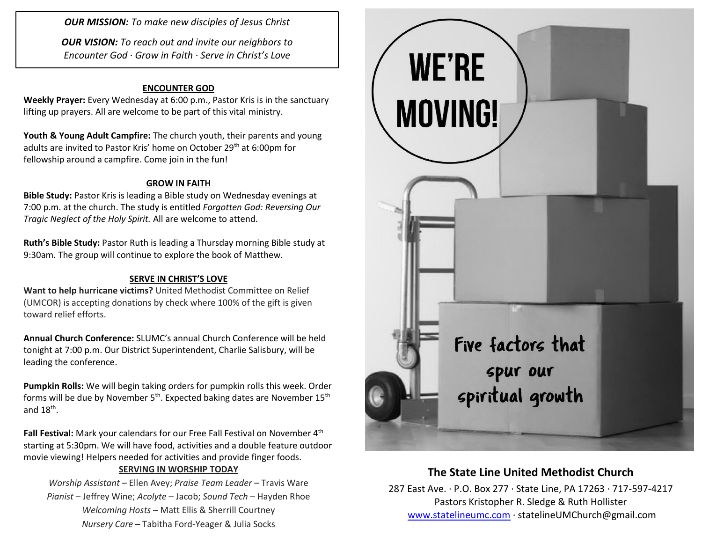*OUR MISSION: To make new disciples of Jesus Christ*

*OUR VISION: To reach out and invite our neighbors to Encounter God · Grow in Faith · Serve in Christ's Love*

### **ENCOUNTER GOD**

**Weekly Prayer:** Every Wednesday at 6:00 p.m., Pastor Kris is in the sanctuary lifting up prayers. All are welcome to be part of this vital ministry.

**Youth & Young Adult Campfire:** The church youth, their parents and young adults are invited to Pastor Kris' home on October 29<sup>th</sup> at 6:00pm for fellowship around a campfire. Come join in the fun!

#### **GROW IN FAITH**

**Bible Study:** Pastor Kris is leading a Bible study on Wednesday evenings at 7:00 p.m. at the church. The study is entitled *Forgotten God: Reversing Our Tragic Neglect of the Holy Spirit.* All are welcome to attend.

**Ruth's Bible Study:** Pastor Ruth is leading a Thursday morning Bible study at 9:30am. The group will continue to explore the book of Matthew.

### **SERVE IN CHRIST'S LOVE**

**Want to help hurricane victims?** United Methodist Committee on Relief (UMCOR) is accepting donations by check where 100% of the gift is given toward relief efforts.

**Annual Church Conference:** SLUMC's annual Church Conference will be held tonight at 7:00 p.m. Our District Superintendent, Charlie Salisbury, will be leading the conference.

**Pumpkin Rolls:** We will begin taking orders for pumpkin rolls this week. Order forms will be due by November  $5<sup>th</sup>$ . Expected baking dates are November  $15<sup>th</sup>$ and  $18^{\text{th}}$ .

Fall Festival: Mark your calendars for our Free Fall Festival on November 4<sup>th</sup> starting at 5:30pm. We will have food, activities and a double feature outdoor movie viewing! Helpers needed for activities and provide finger foods.

#### **SERVING IN WORSHIP TODAY**

*Worship Assistant* – Ellen Avey; *Praise Team Leader* – Travis Ware *Pianist* – Jeffrey Wine; *Acolyte* – Jacob; *Sound Tech* – Hayden Rhoe *Welcoming Hosts* – Matt Ellis & Sherrill Courtney *Nursery Care* – Tabitha Ford-Yeager & Julia Socks



### **The State Line United Methodist Church**

287 East Ave. · P.O. Box 277 · State Line, PA 17263 · 717-597-4217 Pastors Kristopher R. Sledge & Ruth Hollister [www.statelineumc.com](http://www.statelineumc.com/) · statelineUMChurch@gmail.com